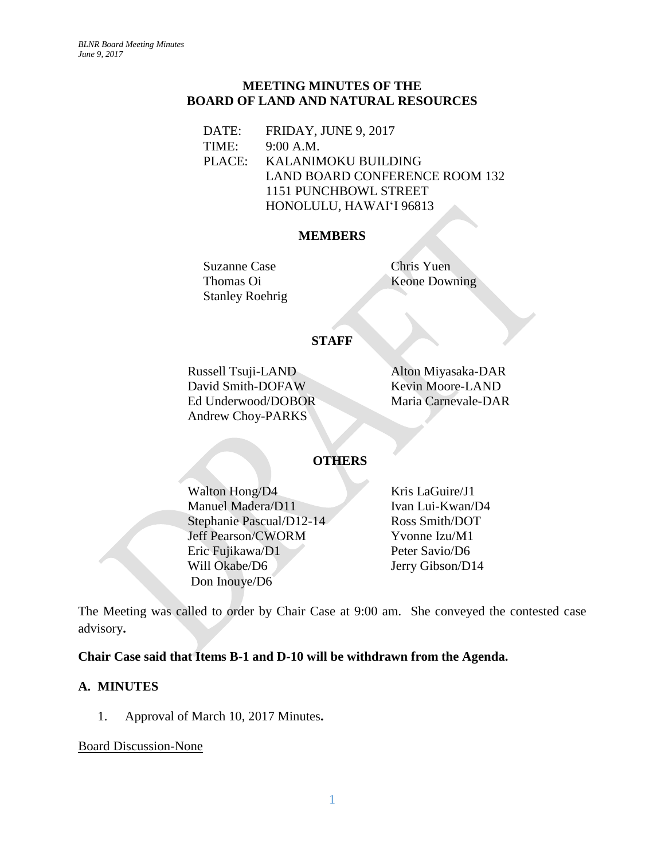### **MEETING MINUTES OF THE BOARD OF LAND AND NATURAL RESOURCES**

DATE: FRIDAY, JUNE 9, 2017 TIME: 9:00 A.M. PLACE: KALANIMOKU BUILDING LAND BOARD CONFERENCE ROOM 132 1151 PUNCHBOWL STREET HONOLULU, HAWAIʻI 96813

### **MEMBERS**

Suzanne Case Chris Yuen Thomas Oi Keone Downing Stanley Roehrig

# **STAFF**

Russell Tsuji-LAND Alton Miyasaka-DAR David Smith-DOFAW Kevin Moore-LAND Ed Underwood/DOBOR Maria Carnevale-DAR Andrew Choy-PARKS

# **OTHERS**

Walton Hong/D4 Kris LaGuire/J1 Manuel Madera/D11 Ivan Lui-Kwan/D4 Stephanie Pascual/D12-14 Ross Smith/DOT Jeff Pearson/CWORM Yvonne Izu/M1 Eric Fujikawa/D1 Peter Savio/D6 Will Okabe/D6 Jerry Gibson/D14 Don Inouye/D6

The Meeting was called to order by Chair Case at 9:00 am. She conveyed the contested case advisory**.**

## **Chair Case said that Items B-1 and D-10 will be withdrawn from the Agenda.**

## **A. MINUTES**

1. Approval of March 10, 2017 Minutes**.**

Board Discussion-None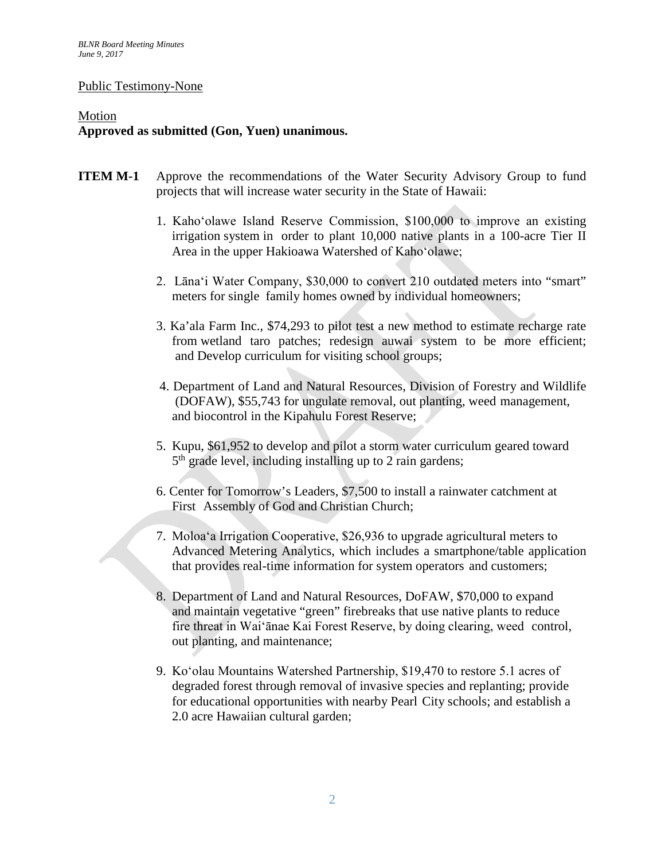#### Public Testimony-None

### Motion **Approved as submitted (Gon, Yuen) unanimous.**

- **ITEM M-1** Approve the recommendations of the Water Security Advisory Group to fund projects that will increase water security in the State of Hawaii:
	- 1. Kahoʻolawe Island Reserve Commission, \$100,000 to improve an existing irrigation system in order to plant 10,000 native plants in a 100-acre Tier II Area in the upper Hakioawa Watershed of Kahoʻolawe;
	- 2. Lānaʻi Water Company, \$30,000 to convert 210 outdated meters into "smart" meters for single family homes owned by individual homeowners;
	- 3. Ka'ala Farm Inc., \$74,293 to pilot test a new method to estimate recharge rate from wetland taro patches; redesign auwai system to be more efficient; and Develop curriculum for visiting school groups;
	- 4. Department of Land and Natural Resources, Division of Forestry and Wildlife (DOFAW), \$55,743 for ungulate removal, out planting, weed management, and biocontrol in the Kipahulu Forest Reserve;
	- 5. Kupu, \$61,952 to develop and pilot a storm water curriculum geared toward  $5<sup>th</sup>$  grade level, including installing up to 2 rain gardens;
	- 6. Center for Tomorrow's Leaders, \$7,500 to install a rainwater catchment at First Assembly of God and Christian Church;
	- 7. Moloaʻa Irrigation Cooperative, \$26,936 to upgrade agricultural meters to Advanced Metering Analytics, which includes a smartphone/table application that provides real-time information for system operators and customers;
	- 8. Department of Land and Natural Resources, DoFAW, \$70,000 to expand and maintain vegetative "green" firebreaks that use native plants to reduce fire threat in Waiʻānae Kai Forest Reserve, by doing clearing, weed control, out planting, and maintenance;
	- 9. Koʻolau Mountains Watershed Partnership, \$19,470 to restore 5.1 acres of degraded forest through removal of invasive species and replanting; provide for educational opportunities with nearby Pearl City schools; and establish a 2.0 acre Hawaiian cultural garden;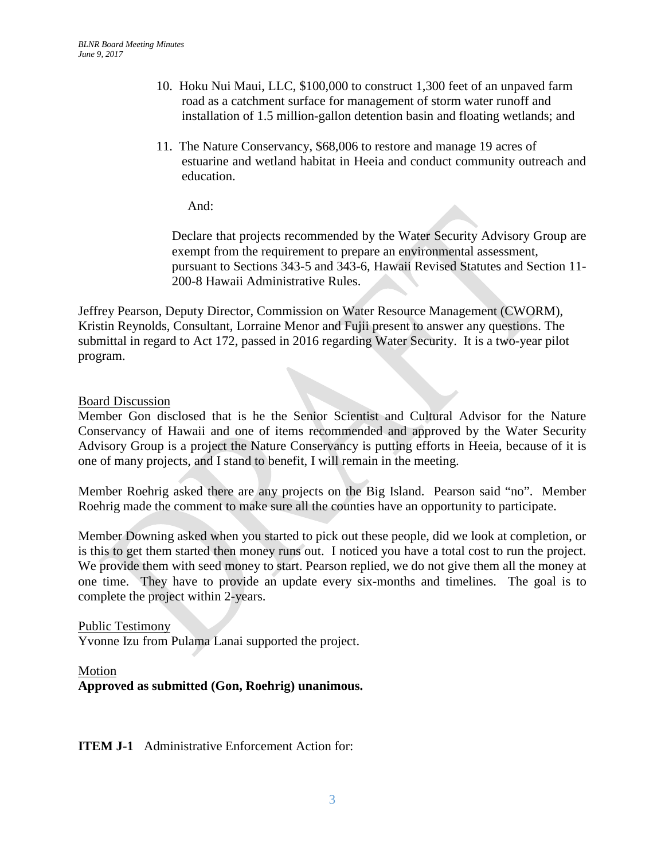- 10. Hoku Nui Maui, LLC, \$100,000 to construct 1,300 feet of an unpaved farm road as a catchment surface for management of storm water runoff and installation of 1.5 million-gallon detention basin and floating wetlands; and
- 11. The Nature Conservancy, \$68,006 to restore and manage 19 acres of estuarine and wetland habitat in Heeia and conduct community outreach and education.

And:

Declare that projects recommended by the Water Security Advisory Group are exempt from the requirement to prepare an environmental assessment, pursuant to Sections 343-5 and 343-6, Hawaii Revised Statutes and Section 11- 200-8 Hawaii Administrative Rules.

Jeffrey Pearson, Deputy Director, Commission on Water Resource Management (CWORM), Kristin Reynolds, Consultant, Lorraine Menor and Fujii present to answer any questions. The submittal in regard to Act 172, passed in 2016 regarding Water Security. It is a two-year pilot program.

### Board Discussion

Member Gon disclosed that is he the Senior Scientist and Cultural Advisor for the Nature Conservancy of Hawaii and one of items recommended and approved by the Water Security Advisory Group is a project the Nature Conservancy is putting efforts in Heeia, because of it is one of many projects, and I stand to benefit, I will remain in the meeting.

Member Roehrig asked there are any projects on the Big Island. Pearson said "no". Member Roehrig made the comment to make sure all the counties have an opportunity to participate.

Member Downing asked when you started to pick out these people, did we look at completion, or is this to get them started then money runs out. I noticed you have a total cost to run the project. We provide them with seed money to start. Pearson replied, we do not give them all the money at one time. They have to provide an update every six-months and timelines. The goal is to complete the project within 2-years.

#### Public Testimony

Yvonne Izu from Pulama Lanai supported the project.

### Motion **Approved as submitted (Gon, Roehrig) unanimous.**

**ITEM J-1** Administrative Enforcement Action for: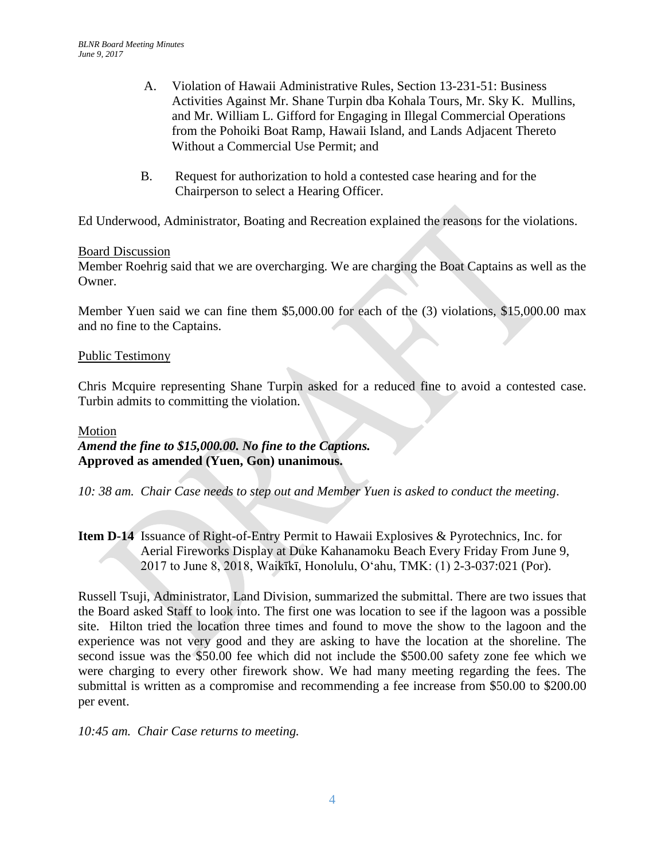- A. Violation of Hawaii Administrative Rules, Section 13-231-51: Business Activities Against Mr. Shane Turpin dba Kohala Tours, Mr. Sky K. Mullins, and Mr. William L. Gifford for Engaging in Illegal Commercial Operations from the Pohoiki Boat Ramp, Hawaii Island, and Lands Adjacent Thereto Without a Commercial Use Permit; and
- B. Request for authorization to hold a contested case hearing and for the Chairperson to select a Hearing Officer.

Ed Underwood, Administrator, Boating and Recreation explained the reasons for the violations.

### Board Discussion

Member Roehrig said that we are overcharging. We are charging the Boat Captains as well as the Owner.

Member Yuen said we can fine them \$5,000.00 for each of the (3) violations, \$15,000.00 max and no fine to the Captains.

### Public Testimony

Chris Mcquire representing Shane Turpin asked for a reduced fine to avoid a contested case. Turbin admits to committing the violation.

### Motion *Amend the fine to \$15,000.00. No fine to the Captions.* **Approved as amended (Yuen, Gon) unanimous.**

*10: 38 am. Chair Case needs to step out and Member Yuen is asked to conduct the meeting*.

**Item D-14** Issuance of Right-of-Entry Permit to Hawaii Explosives & Pyrotechnics, Inc. for Aerial Fireworks Display at Duke Kahanamoku Beach Every Friday From June 9, 2017 to June 8, 2018, Waikīkī, Honolulu, Oʻahu, TMK: (1) 2-3-037:021 (Por).

Russell Tsuji, Administrator, Land Division, summarized the submittal. There are two issues that the Board asked Staff to look into. The first one was location to see if the lagoon was a possible site. Hilton tried the location three times and found to move the show to the lagoon and the experience was not very good and they are asking to have the location at the shoreline. The second issue was the \$50.00 fee which did not include the \$500.00 safety zone fee which we were charging to every other firework show. We had many meeting regarding the fees. The submittal is written as a compromise and recommending a fee increase from \$50.00 to \$200.00 per event.

*10:45 am. Chair Case returns to meeting.*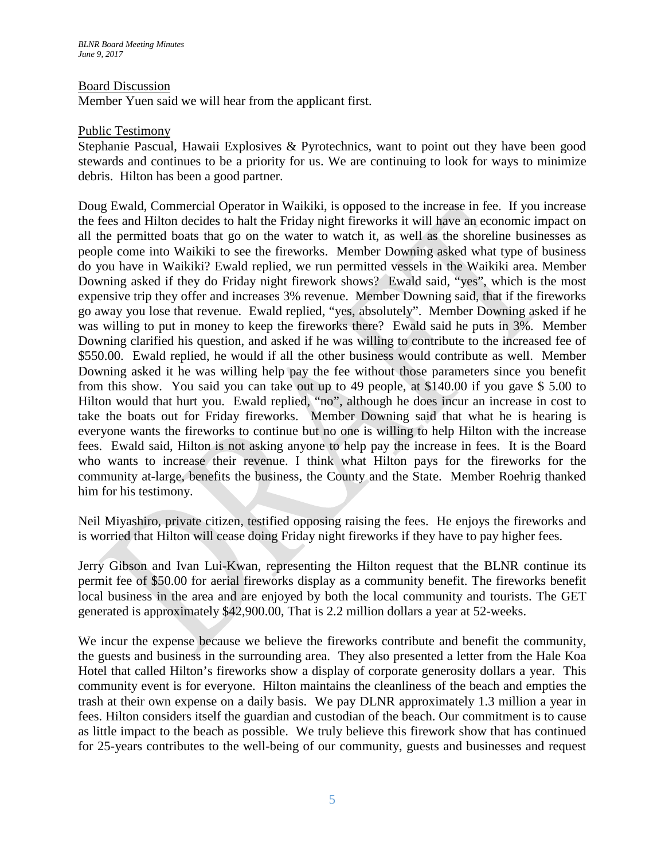### Board Discussion

Member Yuen said we will hear from the applicant first.

#### Public Testimony

Stephanie Pascual, Hawaii Explosives & Pyrotechnics, want to point out they have been good stewards and continues to be a priority for us. We are continuing to look for ways to minimize debris. Hilton has been a good partner.

Doug Ewald, Commercial Operator in Waikiki, is opposed to the increase in fee. If you increase the fees and Hilton decides to halt the Friday night fireworks it will have an economic impact on all the permitted boats that go on the water to watch it, as well as the shoreline businesses as people come into Waikiki to see the fireworks. Member Downing asked what type of business do you have in Waikiki? Ewald replied, we run permitted vessels in the Waikiki area. Member Downing asked if they do Friday night firework shows? Ewald said, "yes", which is the most expensive trip they offer and increases 3% revenue. Member Downing said, that if the fireworks go away you lose that revenue. Ewald replied, "yes, absolutely". Member Downing asked if he was willing to put in money to keep the fireworks there? Ewald said he puts in 3%. Member Downing clarified his question, and asked if he was willing to contribute to the increased fee of \$550.00. Ewald replied, he would if all the other business would contribute as well. Member Downing asked it he was willing help pay the fee without those parameters since you benefit from this show. You said you can take out up to 49 people, at \$140.00 if you gave \$ 5.00 to Hilton would that hurt you. Ewald replied, "no", although he does incur an increase in cost to take the boats out for Friday fireworks. Member Downing said that what he is hearing is everyone wants the fireworks to continue but no one is willing to help Hilton with the increase fees. Ewald said, Hilton is not asking anyone to help pay the increase in fees. It is the Board who wants to increase their revenue. I think what Hilton pays for the fireworks for the community at-large, benefits the business, the County and the State. Member Roehrig thanked him for his testimony.

Neil Miyashiro, private citizen, testified opposing raising the fees. He enjoys the fireworks and is worried that Hilton will cease doing Friday night fireworks if they have to pay higher fees.

Jerry Gibson and Ivan Lui-Kwan, representing the Hilton request that the BLNR continue its permit fee of \$50.00 for aerial fireworks display as a community benefit. The fireworks benefit local business in the area and are enjoyed by both the local community and tourists. The GET generated is approximately \$42,900.00, That is 2.2 million dollars a year at 52-weeks.

We incur the expense because we believe the fireworks contribute and benefit the community, the guests and business in the surrounding area. They also presented a letter from the Hale Koa Hotel that called Hilton's fireworks show a display of corporate generosity dollars a year. This community event is for everyone. Hilton maintains the cleanliness of the beach and empties the trash at their own expense on a daily basis. We pay DLNR approximately 1.3 million a year in fees. Hilton considers itself the guardian and custodian of the beach. Our commitment is to cause as little impact to the beach as possible. We truly believe this firework show that has continued for 25-years contributes to the well-being of our community, guests and businesses and request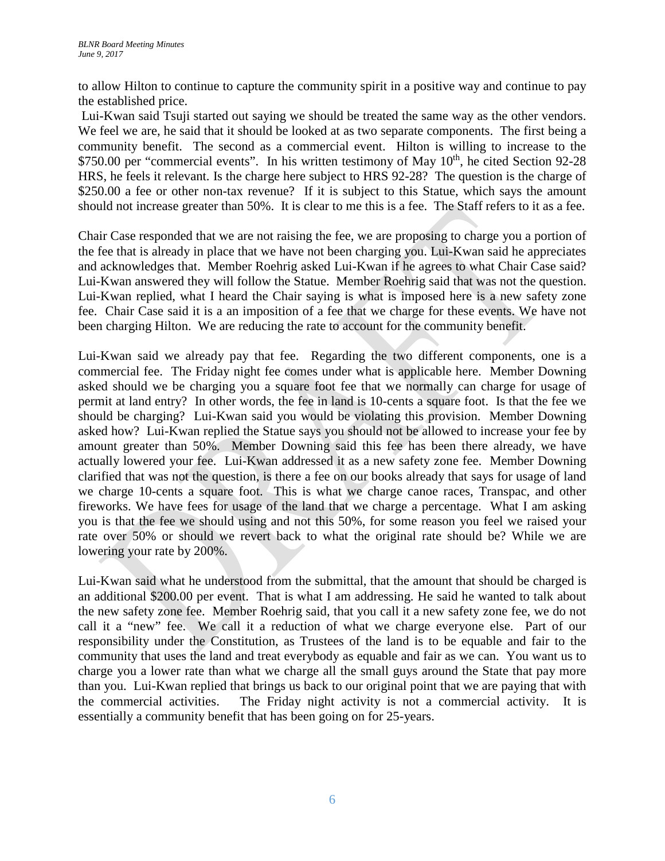to allow Hilton to continue to capture the community spirit in a positive way and continue to pay the established price.

Lui-Kwan said Tsuji started out saying we should be treated the same way as the other vendors. We feel we are, he said that it should be looked at as two separate components. The first being a community benefit. The second as a commercial event. Hilton is willing to increase to the \$750.00 per "commercial events". In his written testimony of May 10<sup>th</sup>, he cited Section 92-28 HRS, he feels it relevant. Is the charge here subject to HRS 92-28? The question is the charge of \$250.00 a fee or other non-tax revenue? If it is subject to this Statue, which says the amount should not increase greater than 50%. It is clear to me this is a fee. The Staff refers to it as a fee.

Chair Case responded that we are not raising the fee, we are proposing to charge you a portion of the fee that is already in place that we have not been charging you. Lui-Kwan said he appreciates and acknowledges that. Member Roehrig asked Lui-Kwan if he agrees to what Chair Case said? Lui-Kwan answered they will follow the Statue. Member Roehrig said that was not the question. Lui-Kwan replied, what I heard the Chair saying is what is imposed here is a new safety zone fee. Chair Case said it is a an imposition of a fee that we charge for these events. We have not been charging Hilton. We are reducing the rate to account for the community benefit.

Lui-Kwan said we already pay that fee. Regarding the two different components, one is a commercial fee. The Friday night fee comes under what is applicable here. Member Downing asked should we be charging you a square foot fee that we normally can charge for usage of permit at land entry? In other words, the fee in land is 10-cents a square foot. Is that the fee we should be charging? Lui-Kwan said you would be violating this provision. Member Downing asked how? Lui-Kwan replied the Statue says you should not be allowed to increase your fee by amount greater than 50%. Member Downing said this fee has been there already, we have actually lowered your fee. Lui-Kwan addressed it as a new safety zone fee. Member Downing clarified that was not the question, is there a fee on our books already that says for usage of land we charge 10-cents a square foot. This is what we charge canoe races, Transpac, and other fireworks. We have fees for usage of the land that we charge a percentage. What I am asking you is that the fee we should using and not this 50%, for some reason you feel we raised your rate over 50% or should we revert back to what the original rate should be? While we are lowering your rate by 200%.

Lui-Kwan said what he understood from the submittal, that the amount that should be charged is an additional \$200.00 per event. That is what I am addressing. He said he wanted to talk about the new safety zone fee. Member Roehrig said, that you call it a new safety zone fee, we do not call it a "new" fee. We call it a reduction of what we charge everyone else. Part of our responsibility under the Constitution, as Trustees of the land is to be equable and fair to the community that uses the land and treat everybody as equable and fair as we can. You want us to charge you a lower rate than what we charge all the small guys around the State that pay more than you. Lui-Kwan replied that brings us back to our original point that we are paying that with the commercial activities. The Friday night activity is not a commercial activity. It is essentially a community benefit that has been going on for 25-years.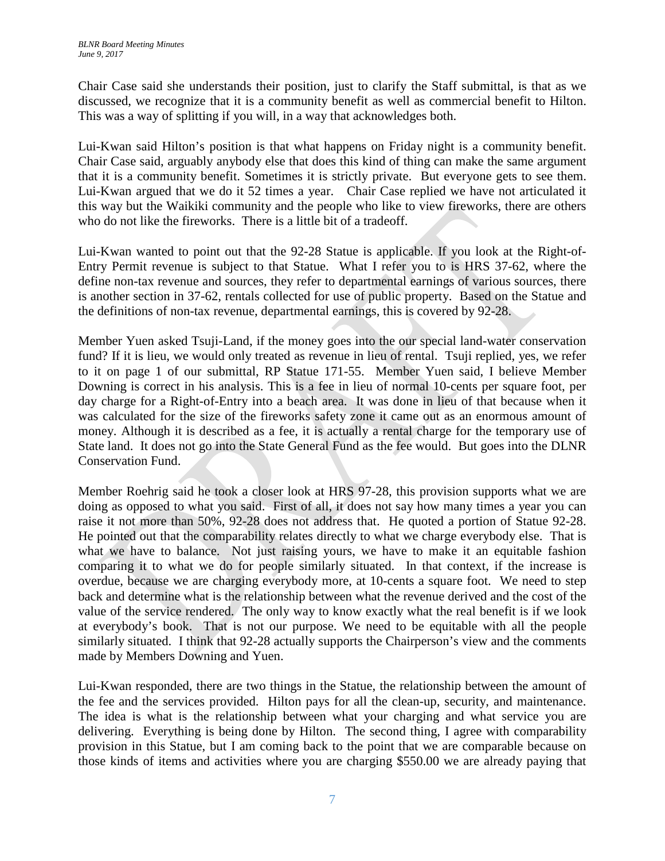Chair Case said she understands their position, just to clarify the Staff submittal, is that as we discussed, we recognize that it is a community benefit as well as commercial benefit to Hilton. This was a way of splitting if you will, in a way that acknowledges both.

Lui-Kwan said Hilton's position is that what happens on Friday night is a community benefit. Chair Case said, arguably anybody else that does this kind of thing can make the same argument that it is a community benefit. Sometimes it is strictly private. But everyone gets to see them. Lui-Kwan argued that we do it 52 times a year. Chair Case replied we have not articulated it this way but the Waikiki community and the people who like to view fireworks, there are others who do not like the fireworks. There is a little bit of a tradeoff.

Lui-Kwan wanted to point out that the 92-28 Statue is applicable. If you look at the Right-of-Entry Permit revenue is subject to that Statue. What I refer you to is HRS 37-62, where the define non-tax revenue and sources, they refer to departmental earnings of various sources, there is another section in 37-62, rentals collected for use of public property. Based on the Statue and the definitions of non-tax revenue, departmental earnings, this is covered by 92-28.

Member Yuen asked Tsuji-Land, if the money goes into the our special land-water conservation fund? If it is lieu, we would only treated as revenue in lieu of rental. Tsuji replied, yes, we refer to it on page 1 of our submittal, RP Statue 171-55. Member Yuen said, I believe Member Downing is correct in his analysis. This is a fee in lieu of normal 10-cents per square foot, per day charge for a Right-of-Entry into a beach area. It was done in lieu of that because when it was calculated for the size of the fireworks safety zone it came out as an enormous amount of money. Although it is described as a fee, it is actually a rental charge for the temporary use of State land. It does not go into the State General Fund as the fee would. But goes into the DLNR Conservation Fund.

Member Roehrig said he took a closer look at HRS 97-28, this provision supports what we are doing as opposed to what you said. First of all, it does not say how many times a year you can raise it not more than 50%, 92-28 does not address that. He quoted a portion of Statue 92-28. He pointed out that the comparability relates directly to what we charge everybody else. That is what we have to balance. Not just raising yours, we have to make it an equitable fashion comparing it to what we do for people similarly situated. In that context, if the increase is overdue, because we are charging everybody more, at 10-cents a square foot. We need to step back and determine what is the relationship between what the revenue derived and the cost of the value of the service rendered. The only way to know exactly what the real benefit is if we look at everybody's book. That is not our purpose. We need to be equitable with all the people similarly situated. I think that 92-28 actually supports the Chairperson's view and the comments made by Members Downing and Yuen.

Lui-Kwan responded, there are two things in the Statue, the relationship between the amount of the fee and the services provided. Hilton pays for all the clean-up, security, and maintenance. The idea is what is the relationship between what your charging and what service you are delivering. Everything is being done by Hilton. The second thing, I agree with comparability provision in this Statue, but I am coming back to the point that we are comparable because on those kinds of items and activities where you are charging \$550.00 we are already paying that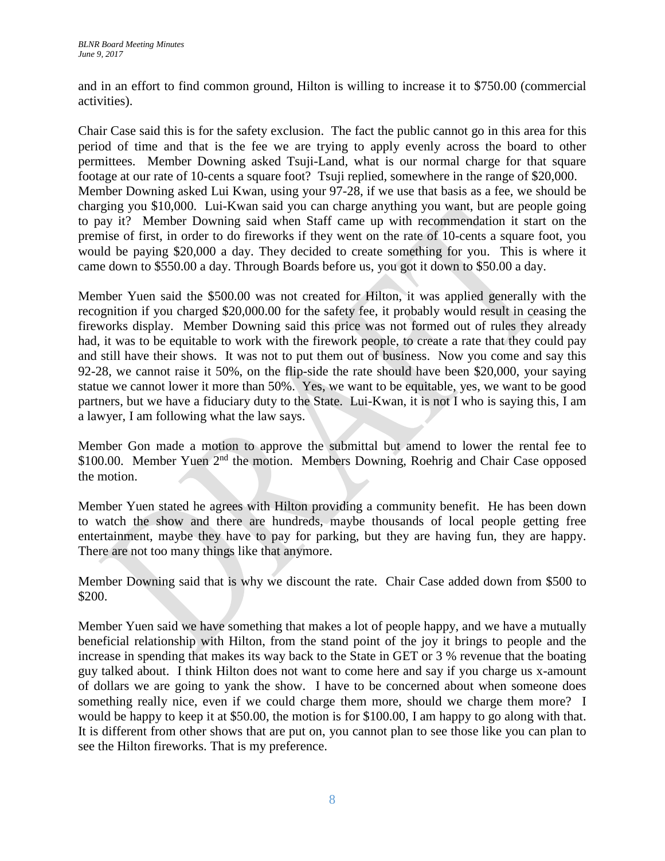and in an effort to find common ground, Hilton is willing to increase it to \$750.00 (commercial activities).

Chair Case said this is for the safety exclusion. The fact the public cannot go in this area for this period of time and that is the fee we are trying to apply evenly across the board to other permittees. Member Downing asked Tsuji-Land, what is our normal charge for that square footage at our rate of 10-cents a square foot? Tsuji replied, somewhere in the range of \$20,000. Member Downing asked Lui Kwan, using your 97-28, if we use that basis as a fee, we should be charging you \$10,000. Lui-Kwan said you can charge anything you want, but are people going to pay it? Member Downing said when Staff came up with recommendation it start on the premise of first, in order to do fireworks if they went on the rate of 10-cents a square foot, you would be paying \$20,000 a day. They decided to create something for you. This is where it came down to \$550.00 a day. Through Boards before us, you got it down to \$50.00 a day.

Member Yuen said the \$500.00 was not created for Hilton, it was applied generally with the recognition if you charged \$20,000.00 for the safety fee, it probably would result in ceasing the fireworks display. Member Downing said this price was not formed out of rules they already had, it was to be equitable to work with the firework people, to create a rate that they could pay and still have their shows. It was not to put them out of business. Now you come and say this 92-28, we cannot raise it 50%, on the flip-side the rate should have been \$20,000, your saying statue we cannot lower it more than 50%. Yes, we want to be equitable, yes, we want to be good partners, but we have a fiduciary duty to the State. Lui-Kwan, it is not I who is saying this, I am a lawyer, I am following what the law says.

Member Gon made a motion to approve the submittal but amend to lower the rental fee to \$100.00. Member Yuen 2<sup>nd</sup> the motion. Members Downing, Roehrig and Chair Case opposed the motion.

Member Yuen stated he agrees with Hilton providing a community benefit. He has been down to watch the show and there are hundreds, maybe thousands of local people getting free entertainment, maybe they have to pay for parking, but they are having fun, they are happy. There are not too many things like that anymore.

Member Downing said that is why we discount the rate. Chair Case added down from \$500 to \$200.

Member Yuen said we have something that makes a lot of people happy, and we have a mutually beneficial relationship with Hilton, from the stand point of the joy it brings to people and the increase in spending that makes its way back to the State in GET or 3 % revenue that the boating guy talked about. I think Hilton does not want to come here and say if you charge us x-amount of dollars we are going to yank the show. I have to be concerned about when someone does something really nice, even if we could charge them more, should we charge them more? I would be happy to keep it at \$50.00, the motion is for \$100.00, I am happy to go along with that. It is different from other shows that are put on, you cannot plan to see those like you can plan to see the Hilton fireworks. That is my preference.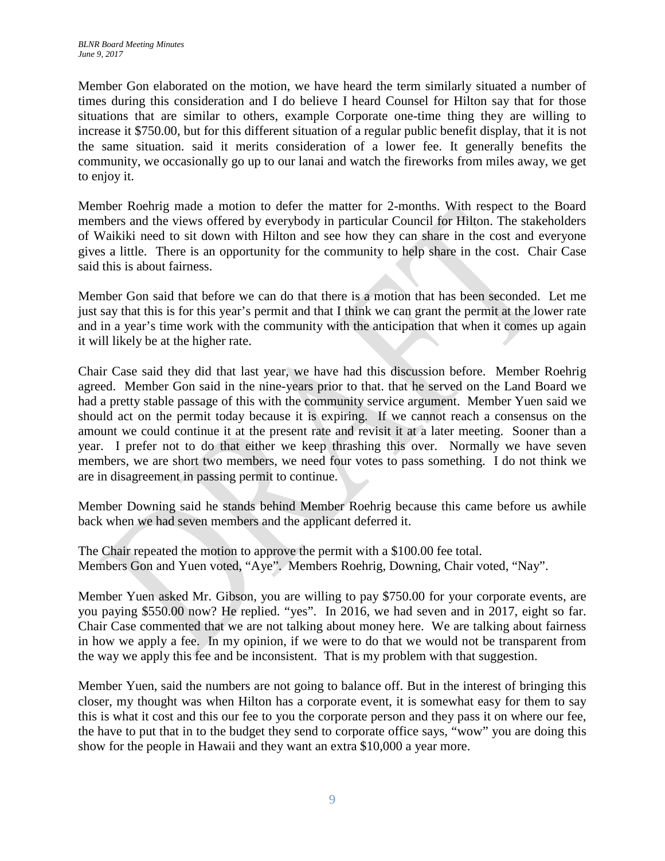Member Gon elaborated on the motion, we have heard the term similarly situated a number of times during this consideration and I do believe I heard Counsel for Hilton say that for those situations that are similar to others, example Corporate one-time thing they are willing to increase it \$750.00, but for this different situation of a regular public benefit display, that it is not the same situation. said it merits consideration of a lower fee. It generally benefits the community, we occasionally go up to our lanai and watch the fireworks from miles away, we get to enjoy it.

Member Roehrig made a motion to defer the matter for 2-months. With respect to the Board members and the views offered by everybody in particular Council for Hilton. The stakeholders of Waikiki need to sit down with Hilton and see how they can share in the cost and everyone gives a little. There is an opportunity for the community to help share in the cost. Chair Case said this is about fairness.

Member Gon said that before we can do that there is a motion that has been seconded. Let me just say that this is for this year's permit and that I think we can grant the permit at the lower rate and in a year's time work with the community with the anticipation that when it comes up again it will likely be at the higher rate.

Chair Case said they did that last year, we have had this discussion before. Member Roehrig agreed. Member Gon said in the nine-years prior to that. that he served on the Land Board we had a pretty stable passage of this with the community service argument. Member Yuen said we should act on the permit today because it is expiring. If we cannot reach a consensus on the amount we could continue it at the present rate and revisit it at a later meeting. Sooner than a year. I prefer not to do that either we keep thrashing this over. Normally we have seven members, we are short two members, we need four votes to pass something. I do not think we are in disagreement in passing permit to continue.

Member Downing said he stands behind Member Roehrig because this came before us awhile back when we had seven members and the applicant deferred it.

The Chair repeated the motion to approve the permit with a \$100.00 fee total. Members Gon and Yuen voted, "Aye". Members Roehrig, Downing, Chair voted, "Nay".

Member Yuen asked Mr. Gibson, you are willing to pay \$750.00 for your corporate events, are you paying \$550.00 now? He replied. "yes". In 2016, we had seven and in 2017, eight so far. Chair Case commented that we are not talking about money here. We are talking about fairness in how we apply a fee. In my opinion, if we were to do that we would not be transparent from the way we apply this fee and be inconsistent. That is my problem with that suggestion.

Member Yuen, said the numbers are not going to balance off. But in the interest of bringing this closer, my thought was when Hilton has a corporate event, it is somewhat easy for them to say this is what it cost and this our fee to you the corporate person and they pass it on where our fee, the have to put that in to the budget they send to corporate office says, "wow" you are doing this show for the people in Hawaii and they want an extra \$10,000 a year more.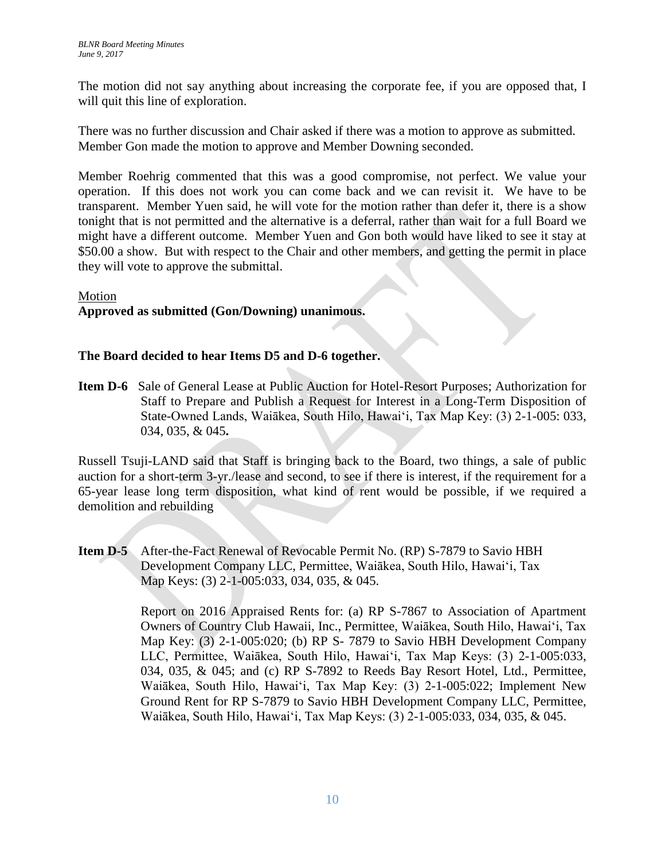The motion did not say anything about increasing the corporate fee, if you are opposed that, I will quit this line of exploration.

There was no further discussion and Chair asked if there was a motion to approve as submitted. Member Gon made the motion to approve and Member Downing seconded.

Member Roehrig commented that this was a good compromise, not perfect. We value your operation. If this does not work you can come back and we can revisit it. We have to be transparent. Member Yuen said, he will vote for the motion rather than defer it, there is a show tonight that is not permitted and the alternative is a deferral, rather than wait for a full Board we might have a different outcome. Member Yuen and Gon both would have liked to see it stay at \$50.00 a show. But with respect to the Chair and other members, and getting the permit in place they will vote to approve the submittal.

### Motion

# **Approved as submitted (Gon/Downing) unanimous.**

### **The Board decided to hear Items D5 and D-6 together.**

**Item D-6** Sale of General Lease at Public Auction for Hotel-Resort Purposes; Authorization for Staff to Prepare and Publish a Request for Interest in a Long-Term Disposition of State-Owned Lands, Waiākea, South Hilo, Hawaiʻi, Tax Map Key: (3) 2-1-005: 033, 034, 035, & 045**.** 

Russell Tsuji-LAND said that Staff is bringing back to the Board, two things, a sale of public auction for a short-term 3-yr./lease and second, to see if there is interest, if the requirement for a 65-year lease long term disposition, what kind of rent would be possible, if we required a demolition and rebuilding

**Item D-5** After-the-Fact Renewal of Revocable Permit No. (RP) S-7879 to Savio HBH Development Company LLC, Permittee, Waiākea, South Hilo, Hawaiʻi, Tax Map Keys: (3) 2-1-005:033, 034, 035, & 045.

> Report on 2016 Appraised Rents for: (a) RP S-7867 to Association of Apartment Owners of Country Club Hawaii, Inc., Permittee, Waiākea, South Hilo, Hawaiʻi, Tax Map Key: (3) 2-1-005:020; (b) RP S- 7879 to Savio HBH Development Company LLC, Permittee, Waiākea, South Hilo, Hawaiʻi, Tax Map Keys: (3) 2-1-005:033, 034, 035, & 045; and (c) RP S-7892 to Reeds Bay Resort Hotel, Ltd., Permittee, Waiākea, South Hilo, Hawaiʻi, Tax Map Key: (3) 2-1-005:022; Implement New Ground Rent for RP S-7879 to Savio HBH Development Company LLC, Permittee, Waiākea, South Hilo, Hawaiʻi, Tax Map Keys: (3) 2-1-005:033, 034, 035, & 045.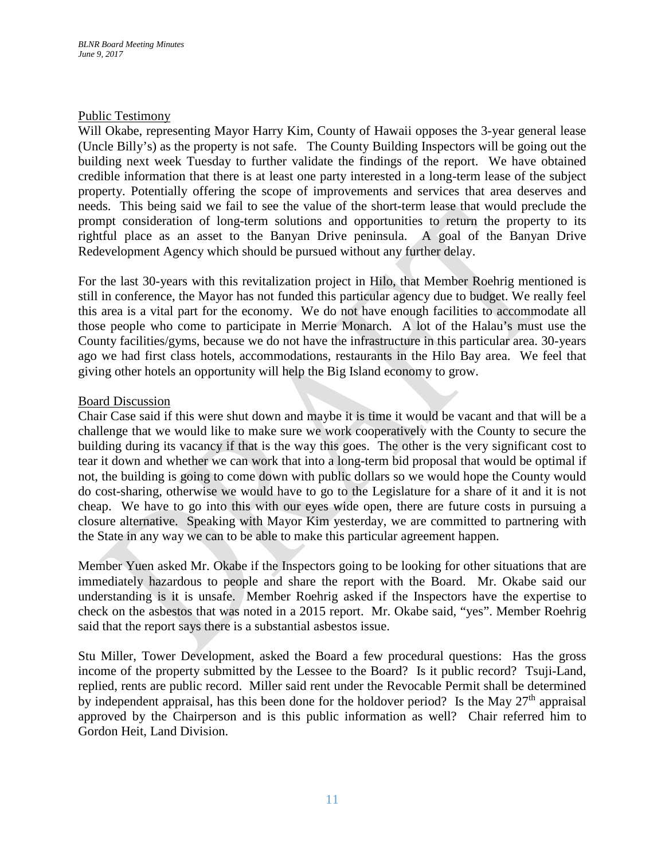#### Public Testimony

Will Okabe, representing Mayor Harry Kim, County of Hawaii opposes the 3-year general lease (Uncle Billy's) as the property is not safe. The County Building Inspectors will be going out the building next week Tuesday to further validate the findings of the report. We have obtained credible information that there is at least one party interested in a long-term lease of the subject property. Potentially offering the scope of improvements and services that area deserves and needs. This being said we fail to see the value of the short-term lease that would preclude the prompt consideration of long-term solutions and opportunities to return the property to its rightful place as an asset to the Banyan Drive peninsula. A goal of the Banyan Drive Redevelopment Agency which should be pursued without any further delay.

For the last 30-years with this revitalization project in Hilo, that Member Roehrig mentioned is still in conference, the Mayor has not funded this particular agency due to budget. We really feel this area is a vital part for the economy. We do not have enough facilities to accommodate all those people who come to participate in Merrie Monarch. A lot of the Halau's must use the County facilities/gyms, because we do not have the infrastructure in this particular area. 30-years ago we had first class hotels, accommodations, restaurants in the Hilo Bay area. We feel that giving other hotels an opportunity will help the Big Island economy to grow.

### Board Discussion

Chair Case said if this were shut down and maybe it is time it would be vacant and that will be a challenge that we would like to make sure we work cooperatively with the County to secure the building during its vacancy if that is the way this goes. The other is the very significant cost to tear it down and whether we can work that into a long-term bid proposal that would be optimal if not, the building is going to come down with public dollars so we would hope the County would do cost-sharing, otherwise we would have to go to the Legislature for a share of it and it is not cheap. We have to go into this with our eyes wide open, there are future costs in pursuing a closure alternative. Speaking with Mayor Kim yesterday, we are committed to partnering with the State in any way we can to be able to make this particular agreement happen.

Member Yuen asked Mr. Okabe if the Inspectors going to be looking for other situations that are immediately hazardous to people and share the report with the Board. Mr. Okabe said our understanding is it is unsafe. Member Roehrig asked if the Inspectors have the expertise to check on the asbestos that was noted in a 2015 report. Mr. Okabe said, "yes". Member Roehrig said that the report says there is a substantial asbestos issue.

Stu Miller, Tower Development, asked the Board a few procedural questions: Has the gross income of the property submitted by the Lessee to the Board? Is it public record? Tsuji-Land, replied, rents are public record. Miller said rent under the Revocable Permit shall be determined by independent appraisal, has this been done for the holdover period? Is the May  $27<sup>th</sup>$  appraisal approved by the Chairperson and is this public information as well? Chair referred him to Gordon Heit, Land Division.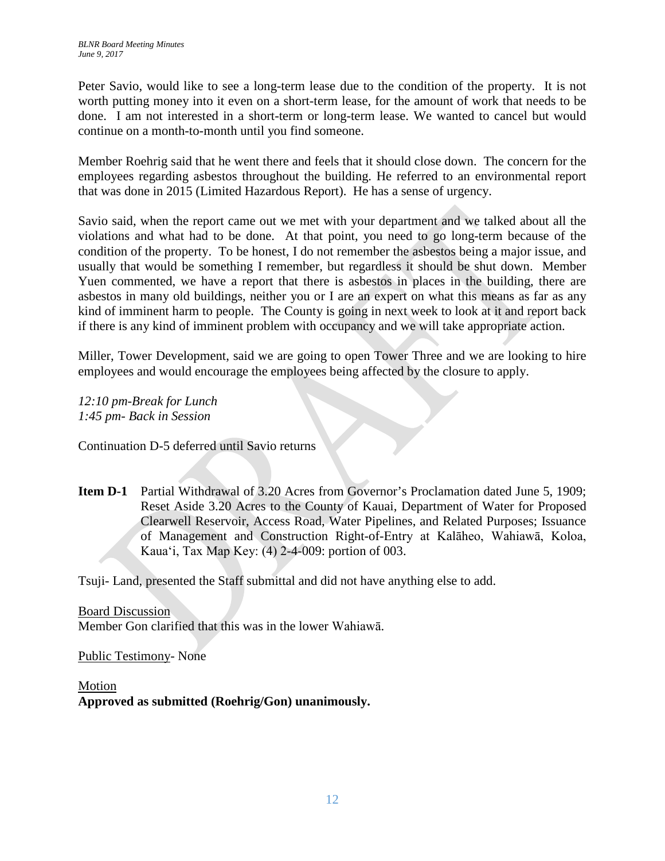Peter Savio, would like to see a long-term lease due to the condition of the property. It is not worth putting money into it even on a short-term lease, for the amount of work that needs to be done. I am not interested in a short-term or long-term lease. We wanted to cancel but would continue on a month-to-month until you find someone.

Member Roehrig said that he went there and feels that it should close down. The concern for the employees regarding asbestos throughout the building. He referred to an environmental report that was done in 2015 (Limited Hazardous Report). He has a sense of urgency.

Savio said, when the report came out we met with your department and we talked about all the violations and what had to be done. At that point, you need to go long-term because of the condition of the property. To be honest, I do not remember the asbestos being a major issue, and usually that would be something I remember, but regardless it should be shut down. Member Yuen commented, we have a report that there is asbestos in places in the building, there are asbestos in many old buildings, neither you or I are an expert on what this means as far as any kind of imminent harm to people. The County is going in next week to look at it and report back if there is any kind of imminent problem with occupancy and we will take appropriate action.

Miller, Tower Development, said we are going to open Tower Three and we are looking to hire employees and would encourage the employees being affected by the closure to apply.

*12:10 pm-Break for Lunch 1:45 pm- Back in Session*

Continuation D-5 deferred until Savio returns

**Item D-1** Partial Withdrawal of 3.20 Acres from Governor's Proclamation dated June 5, 1909; Reset Aside 3.20 Acres to the County of Kauai, Department of Water for Proposed Clearwell Reservoir, Access Road, Water Pipelines, and Related Purposes; Issuance of Management and Construction Right-of-Entry at Kalāheo, Wahiawā, Koloa, Kauaʻi, Tax Map Key: (4) 2-4-009: portion of 003.

Tsuji- Land, presented the Staff submittal and did not have anything else to add.

Board Discussion Member Gon clarified that this was in the lower Wahiawā.

Public Testimony- None

Motion **Approved as submitted (Roehrig/Gon) unanimously.**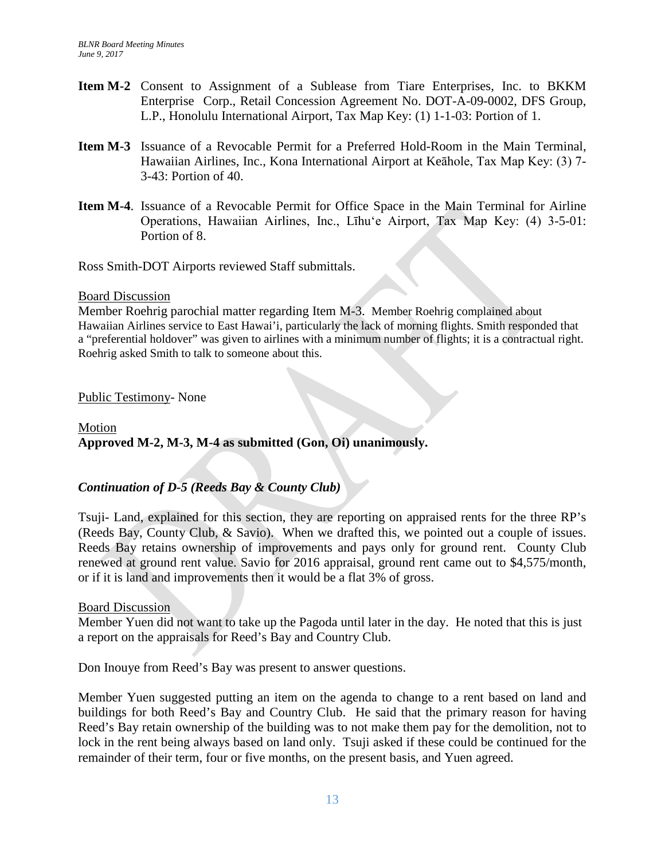- **Item M-2** Consent to Assignment of a Sublease from Tiare Enterprises, Inc. to BKKM Enterprise Corp., Retail Concession Agreement No. DOT-A-09-0002, DFS Group, L.P., Honolulu International Airport, Tax Map Key: (1) 1-1-03: Portion of 1.
- **Item M-3** Issuance of a Revocable Permit for a Preferred Hold-Room in the Main Terminal, Hawaiian Airlines, Inc., Kona International Airport at Keāhole, Tax Map Key: (3) 7- 3-43: Portion of 40.
- **Item M-4**. Issuance of a Revocable Permit for Office Space in the Main Terminal for Airline Operations, Hawaiian Airlines, Inc., Līhuʻe Airport, Tax Map Key: (4) 3-5-01: Portion of 8.

Ross Smith-DOT Airports reviewed Staff submittals.

#### Board Discussion

Member Roehrig parochial matter regarding Item M-3. Member Roehrig complained about Hawaiian Airlines service to East Hawai'i, particularly the lack of morning flights. Smith responded that a "preferential holdover" was given to airlines with a minimum number of flights; it is a contractual right. Roehrig asked Smith to talk to someone about this.

### Public Testimony- None

# Motion **Approved M-2, M-3, M-4 as submitted (Gon, Oi) unanimously.**

## *Continuation of D-5 (Reeds Bay & County Club)*

Tsuji- Land, explained for this section, they are reporting on appraised rents for the three RP's (Reeds Bay, County Club, & Savio). When we drafted this, we pointed out a couple of issues. Reeds Bay retains ownership of improvements and pays only for ground rent. County Club renewed at ground rent value. Savio for 2016 appraisal, ground rent came out to \$4,575/month, or if it is land and improvements then it would be a flat 3% of gross.

### Board Discussion

Member Yuen did not want to take up the Pagoda until later in the day. He noted that this is just a report on the appraisals for Reed's Bay and Country Club.

Don Inouye from Reed's Bay was present to answer questions.

Member Yuen suggested putting an item on the agenda to change to a rent based on land and buildings for both Reed's Bay and Country Club. He said that the primary reason for having Reed's Bay retain ownership of the building was to not make them pay for the demolition, not to lock in the rent being always based on land only. Tsuji asked if these could be continued for the remainder of their term, four or five months, on the present basis, and Yuen agreed.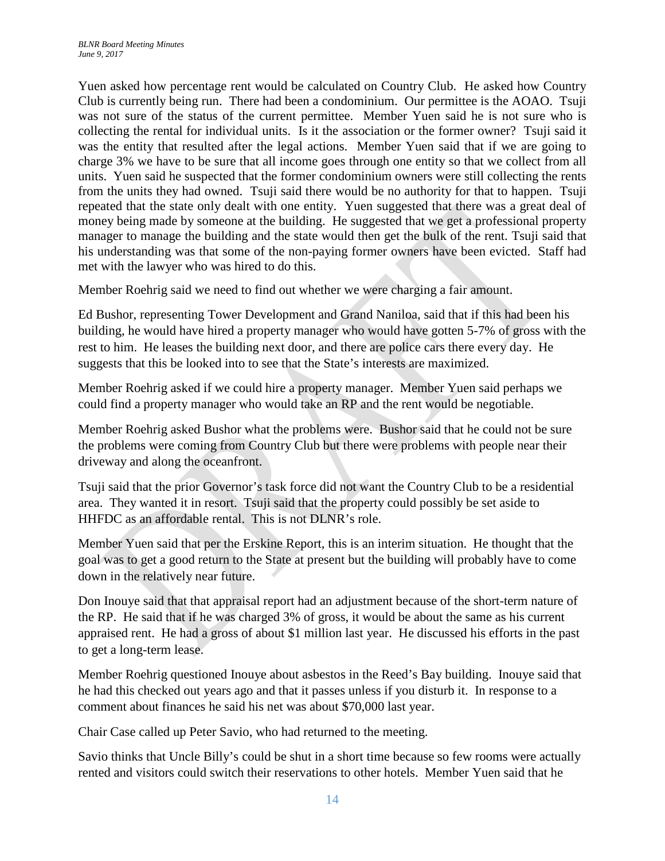Yuen asked how percentage rent would be calculated on Country Club. He asked how Country Club is currently being run. There had been a condominium. Our permittee is the AOAO. Tsuji was not sure of the status of the current permittee. Member Yuen said he is not sure who is collecting the rental for individual units. Is it the association or the former owner? Tsuji said it was the entity that resulted after the legal actions. Member Yuen said that if we are going to charge 3% we have to be sure that all income goes through one entity so that we collect from all units. Yuen said he suspected that the former condominium owners were still collecting the rents from the units they had owned. Tsuji said there would be no authority for that to happen. Tsuji repeated that the state only dealt with one entity. Yuen suggested that there was a great deal of money being made by someone at the building. He suggested that we get a professional property manager to manage the building and the state would then get the bulk of the rent. Tsuji said that his understanding was that some of the non-paying former owners have been evicted. Staff had met with the lawyer who was hired to do this.

Member Roehrig said we need to find out whether we were charging a fair amount.

Ed Bushor, representing Tower Development and Grand Naniloa, said that if this had been his building, he would have hired a property manager who would have gotten 5-7% of gross with the rest to him. He leases the building next door, and there are police cars there every day. He suggests that this be looked into to see that the State's interests are maximized.

Member Roehrig asked if we could hire a property manager. Member Yuen said perhaps we could find a property manager who would take an RP and the rent would be negotiable.

Member Roehrig asked Bushor what the problems were. Bushor said that he could not be sure the problems were coming from Country Club but there were problems with people near their driveway and along the oceanfront.

Tsuji said that the prior Governor's task force did not want the Country Club to be a residential area. They wanted it in resort. Tsuji said that the property could possibly be set aside to HHFDC as an affordable rental. This is not DLNR's role.

Member Yuen said that per the Erskine Report, this is an interim situation. He thought that the goal was to get a good return to the State at present but the building will probably have to come down in the relatively near future.

Don Inouye said that that appraisal report had an adjustment because of the short-term nature of the RP. He said that if he was charged 3% of gross, it would be about the same as his current appraised rent. He had a gross of about \$1 million last year. He discussed his efforts in the past to get a long-term lease.

Member Roehrig questioned Inouye about asbestos in the Reed's Bay building. Inouye said that he had this checked out years ago and that it passes unless if you disturb it. In response to a comment about finances he said his net was about \$70,000 last year.

Chair Case called up Peter Savio, who had returned to the meeting.

Savio thinks that Uncle Billy's could be shut in a short time because so few rooms were actually rented and visitors could switch their reservations to other hotels. Member Yuen said that he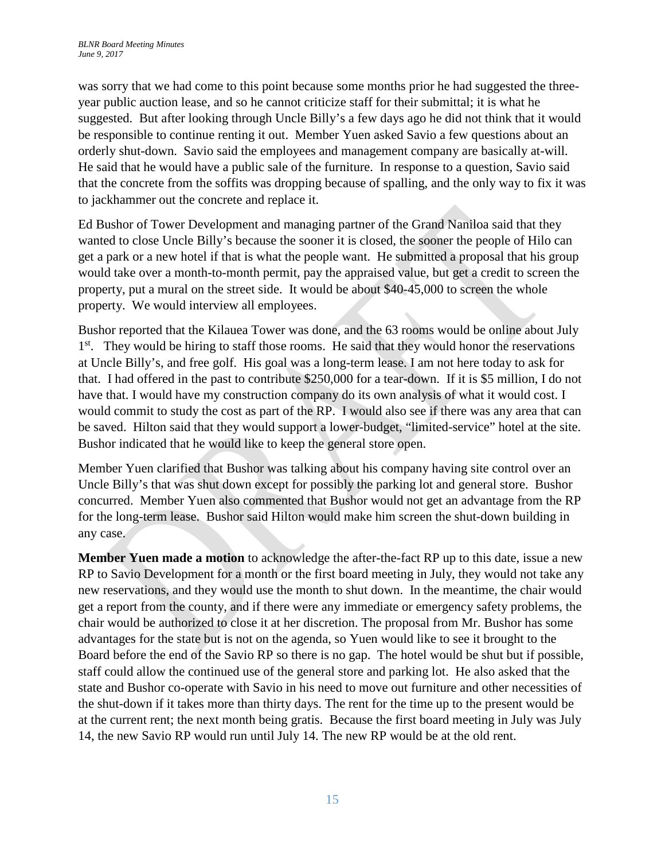was sorry that we had come to this point because some months prior he had suggested the threeyear public auction lease, and so he cannot criticize staff for their submittal; it is what he suggested. But after looking through Uncle Billy's a few days ago he did not think that it would be responsible to continue renting it out. Member Yuen asked Savio a few questions about an orderly shut-down. Savio said the employees and management company are basically at-will. He said that he would have a public sale of the furniture. In response to a question, Savio said that the concrete from the soffits was dropping because of spalling, and the only way to fix it was to jackhammer out the concrete and replace it.

Ed Bushor of Tower Development and managing partner of the Grand Naniloa said that they wanted to close Uncle Billy's because the sooner it is closed, the sooner the people of Hilo can get a park or a new hotel if that is what the people want. He submitted a proposal that his group would take over a month-to-month permit, pay the appraised value, but get a credit to screen the property, put a mural on the street side. It would be about \$40-45,000 to screen the whole property. We would interview all employees.

Bushor reported that the Kilauea Tower was done, and the 63 rooms would be online about July 1<sup>st</sup>. They would be hiring to staff those rooms. He said that they would honor the reservations at Uncle Billy's, and free golf. His goal was a long-term lease. I am not here today to ask for that. I had offered in the past to contribute \$250,000 for a tear-down. If it is \$5 million, I do not have that. I would have my construction company do its own analysis of what it would cost. I would commit to study the cost as part of the RP. I would also see if there was any area that can be saved. Hilton said that they would support a lower-budget, "limited-service" hotel at the site. Bushor indicated that he would like to keep the general store open.

Member Yuen clarified that Bushor was talking about his company having site control over an Uncle Billy's that was shut down except for possibly the parking lot and general store. Bushor concurred. Member Yuen also commented that Bushor would not get an advantage from the RP for the long-term lease. Bushor said Hilton would make him screen the shut-down building in any case.

**Member Yuen made a motion** to acknowledge the after-the-fact RP up to this date, issue a new RP to Savio Development for a month or the first board meeting in July, they would not take any new reservations, and they would use the month to shut down. In the meantime, the chair would get a report from the county, and if there were any immediate or emergency safety problems, the chair would be authorized to close it at her discretion. The proposal from Mr. Bushor has some advantages for the state but is not on the agenda, so Yuen would like to see it brought to the Board before the end of the Savio RP so there is no gap. The hotel would be shut but if possible, staff could allow the continued use of the general store and parking lot. He also asked that the state and Bushor co-operate with Savio in his need to move out furniture and other necessities of the shut-down if it takes more than thirty days. The rent for the time up to the present would be at the current rent; the next month being gratis. Because the first board meeting in July was July 14, the new Savio RP would run until July 14. The new RP would be at the old rent.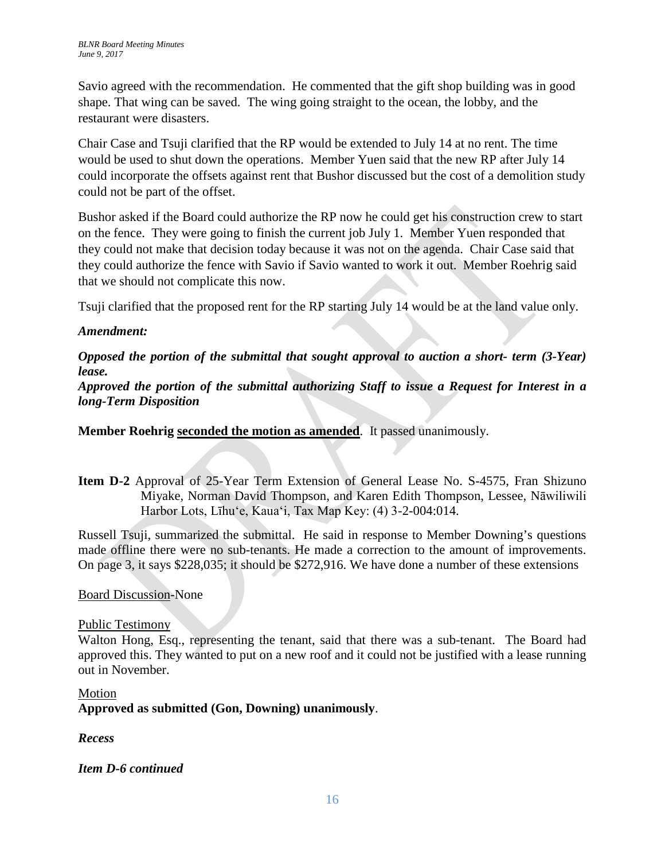Savio agreed with the recommendation. He commented that the gift shop building was in good shape. That wing can be saved. The wing going straight to the ocean, the lobby, and the restaurant were disasters.

Chair Case and Tsuji clarified that the RP would be extended to July 14 at no rent. The time would be used to shut down the operations. Member Yuen said that the new RP after July 14 could incorporate the offsets against rent that Bushor discussed but the cost of a demolition study could not be part of the offset.

Bushor asked if the Board could authorize the RP now he could get his construction crew to start on the fence. They were going to finish the current job July 1. Member Yuen responded that they could not make that decision today because it was not on the agenda. Chair Case said that they could authorize the fence with Savio if Savio wanted to work it out. Member Roehrig said that we should not complicate this now.

Tsuji clarified that the proposed rent for the RP starting July 14 would be at the land value only.

# *Amendment:*

*Opposed the portion of the submittal that sought approval to auction a short- term (3-Year) lease.*

*Approved the portion of the submittal authorizing Staff to issue a Request for Interest in a long-Term Disposition*

**Member Roehrig seconded the motion as amended**. It passed unanimously.

**Item D-2** Approval of 25-Year Term Extension of General Lease No. S-4575, Fran Shizuno Miyake, Norman David Thompson, and Karen Edith Thompson, Lessee, Nāwiliwili Harbor Lots, Līhuʻe, Kauaʻi, Tax Map Key: (4) 3-2-004:014.

Russell Tsuji, summarized the submittal. He said in response to Member Downing's questions made offline there were no sub-tenants. He made a correction to the amount of improvements. On page 3, it says \$228,035; it should be \$272,916. We have done a number of these extensions

## Board Discussion-None

## Public Testimony

Walton Hong, Esq., representing the tenant, said that there was a sub-tenant. The Board had approved this. They wanted to put on a new roof and it could not be justified with a lease running out in November.

# Motion **Approved as submitted (Gon, Downing) unanimously**.

*Recess*

# *Item D-6 continued*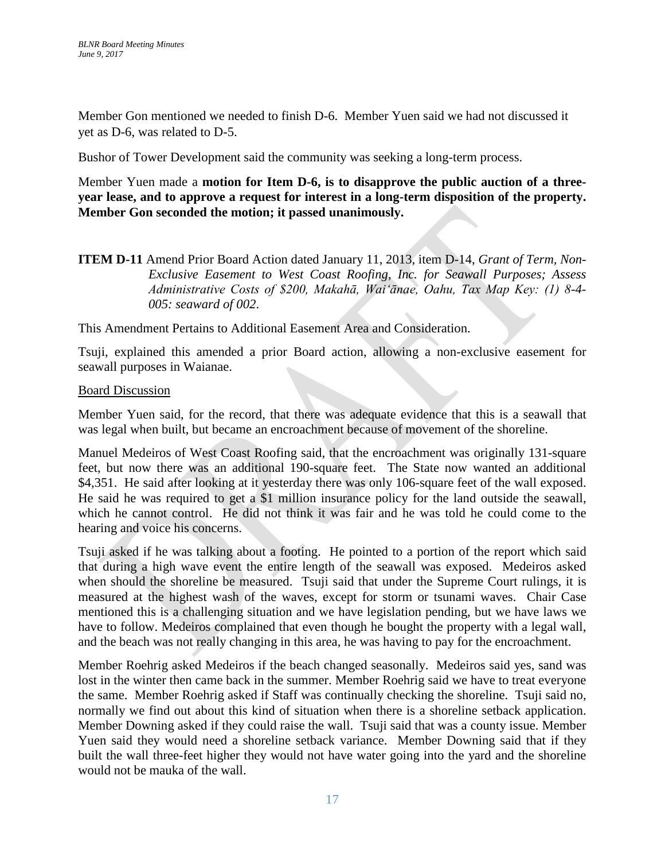Member Gon mentioned we needed to finish D-6. Member Yuen said we had not discussed it yet as D-6, was related to D-5.

Bushor of Tower Development said the community was seeking a long-term process.

Member Yuen made a **motion for Item D-6, is to disapprove the public auction of a threeyear lease, and to approve a request for interest in a long-term disposition of the property. Member Gon seconded the motion; it passed unanimously.** 

### **ITEM D-11** Amend Prior Board Action dated January 11, 2013, item D-14, *Grant of Term, Non-Exclusive Easement to West Coast Roofing, Inc. for Seawall Purposes; Assess Administrative Costs of \$200, Makahā, Waiʻānae, Oahu, Tax Map Key: (1) 8-4- 005: seaward of 002*.

This Amendment Pertains to Additional Easement Area and Consideration.

Tsuji, explained this amended a prior Board action, allowing a non-exclusive easement for seawall purposes in Waianae.

#### Board Discussion

Member Yuen said, for the record, that there was adequate evidence that this is a seawall that was legal when built, but became an encroachment because of movement of the shoreline.

Manuel Medeiros of West Coast Roofing said, that the encroachment was originally 131-square feet, but now there was an additional 190-square feet. The State now wanted an additional \$4,351. He said after looking at it yesterday there was only 106-square feet of the wall exposed. He said he was required to get a \$1 million insurance policy for the land outside the seawall, which he cannot control. He did not think it was fair and he was told he could come to the hearing and voice his concerns.

Tsuji asked if he was talking about a footing. He pointed to a portion of the report which said that during a high wave event the entire length of the seawall was exposed. Medeiros asked when should the shoreline be measured. Tsuji said that under the Supreme Court rulings, it is measured at the highest wash of the waves, except for storm or tsunami waves. Chair Case mentioned this is a challenging situation and we have legislation pending, but we have laws we have to follow. Medeiros complained that even though he bought the property with a legal wall, and the beach was not really changing in this area, he was having to pay for the encroachment.

Member Roehrig asked Medeiros if the beach changed seasonally. Medeiros said yes, sand was lost in the winter then came back in the summer. Member Roehrig said we have to treat everyone the same. Member Roehrig asked if Staff was continually checking the shoreline. Tsuji said no, normally we find out about this kind of situation when there is a shoreline setback application. Member Downing asked if they could raise the wall. Tsuji said that was a county issue. Member Yuen said they would need a shoreline setback variance. Member Downing said that if they built the wall three-feet higher they would not have water going into the yard and the shoreline would not be mauka of the wall.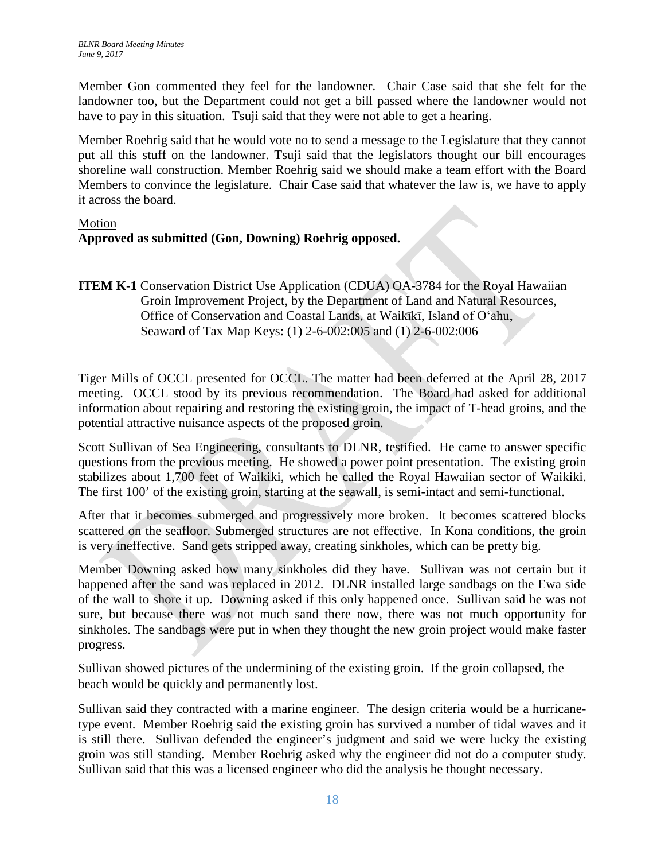Member Gon commented they feel for the landowner. Chair Case said that she felt for the landowner too, but the Department could not get a bill passed where the landowner would not have to pay in this situation. Tsuji said that they were not able to get a hearing.

Member Roehrig said that he would vote no to send a message to the Legislature that they cannot put all this stuff on the landowner. Tsuji said that the legislators thought our bill encourages shoreline wall construction. Member Roehrig said we should make a team effort with the Board Members to convince the legislature. Chair Case said that whatever the law is, we have to apply it across the board.

### Motion

# **Approved as submitted (Gon, Downing) Roehrig opposed.**

**ITEM K-1** Conservation District Use Application (CDUA) OA-3784 for the Royal Hawaiian Groin Improvement Project, by the Department of Land and Natural Resources, Office of Conservation and Coastal Lands, at Waikīkī, Island of O'ahu, Seaward of Tax Map Keys: (1) 2-6-002:005 and (1) 2-6-002:006

Tiger Mills of OCCL presented for OCCL. The matter had been deferred at the April 28, 2017 meeting. OCCL stood by its previous recommendation. The Board had asked for additional information about repairing and restoring the existing groin, the impact of T-head groins, and the potential attractive nuisance aspects of the proposed groin.

Scott Sullivan of Sea Engineering, consultants to DLNR, testified. He came to answer specific questions from the previous meeting. He showed a power point presentation. The existing groin stabilizes about 1,700 feet of Waikiki, which he called the Royal Hawaiian sector of Waikiki. The first 100' of the existing groin, starting at the seawall, is semi-intact and semi-functional.

After that it becomes submerged and progressively more broken. It becomes scattered blocks scattered on the seafloor. Submerged structures are not effective. In Kona conditions, the groin is very ineffective. Sand gets stripped away, creating sinkholes, which can be pretty big.

Member Downing asked how many sinkholes did they have. Sullivan was not certain but it happened after the sand was replaced in 2012. DLNR installed large sandbags on the Ewa side of the wall to shore it up. Downing asked if this only happened once. Sullivan said he was not sure, but because there was not much sand there now, there was not much opportunity for sinkholes. The sandbags were put in when they thought the new groin project would make faster progress.

Sullivan showed pictures of the undermining of the existing groin. If the groin collapsed, the beach would be quickly and permanently lost.

Sullivan said they contracted with a marine engineer. The design criteria would be a hurricanetype event. Member Roehrig said the existing groin has survived a number of tidal waves and it is still there. Sullivan defended the engineer's judgment and said we were lucky the existing groin was still standing. Member Roehrig asked why the engineer did not do a computer study. Sullivan said that this was a licensed engineer who did the analysis he thought necessary.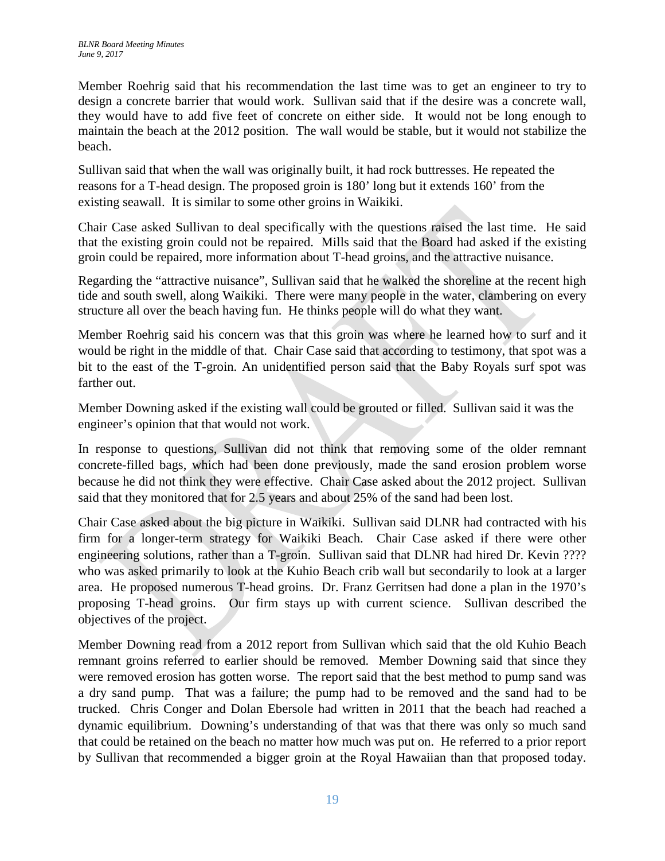Member Roehrig said that his recommendation the last time was to get an engineer to try to design a concrete barrier that would work. Sullivan said that if the desire was a concrete wall, they would have to add five feet of concrete on either side. It would not be long enough to maintain the beach at the 2012 position. The wall would be stable, but it would not stabilize the beach.

Sullivan said that when the wall was originally built, it had rock buttresses. He repeated the reasons for a T-head design. The proposed groin is 180' long but it extends 160' from the existing seawall. It is similar to some other groins in Waikiki.

Chair Case asked Sullivan to deal specifically with the questions raised the last time. He said that the existing groin could not be repaired. Mills said that the Board had asked if the existing groin could be repaired, more information about T-head groins, and the attractive nuisance.

Regarding the "attractive nuisance", Sullivan said that he walked the shoreline at the recent high tide and south swell, along Waikiki. There were many people in the water, clambering on every structure all over the beach having fun. He thinks people will do what they want.

Member Roehrig said his concern was that this groin was where he learned how to surf and it would be right in the middle of that. Chair Case said that according to testimony, that spot was a bit to the east of the T-groin. An unidentified person said that the Baby Royals surf spot was farther out.

Member Downing asked if the existing wall could be grouted or filled. Sullivan said it was the engineer's opinion that that would not work.

In response to questions, Sullivan did not think that removing some of the older remnant concrete-filled bags, which had been done previously, made the sand erosion problem worse because he did not think they were effective. Chair Case asked about the 2012 project. Sullivan said that they monitored that for 2.5 years and about 25% of the sand had been lost.

Chair Case asked about the big picture in Waikiki. Sullivan said DLNR had contracted with his firm for a longer-term strategy for Waikiki Beach. Chair Case asked if there were other engineering solutions, rather than a T-groin. Sullivan said that DLNR had hired Dr. Kevin ???? who was asked primarily to look at the Kuhio Beach crib wall but secondarily to look at a larger area. He proposed numerous T-head groins. Dr. Franz Gerritsen had done a plan in the 1970's proposing T-head groins. Our firm stays up with current science. Sullivan described the objectives of the project.

Member Downing read from a 2012 report from Sullivan which said that the old Kuhio Beach remnant groins referred to earlier should be removed. Member Downing said that since they were removed erosion has gotten worse. The report said that the best method to pump sand was a dry sand pump. That was a failure; the pump had to be removed and the sand had to be trucked. Chris Conger and Dolan Ebersole had written in 2011 that the beach had reached a dynamic equilibrium. Downing's understanding of that was that there was only so much sand that could be retained on the beach no matter how much was put on. He referred to a prior report by Sullivan that recommended a bigger groin at the Royal Hawaiian than that proposed today.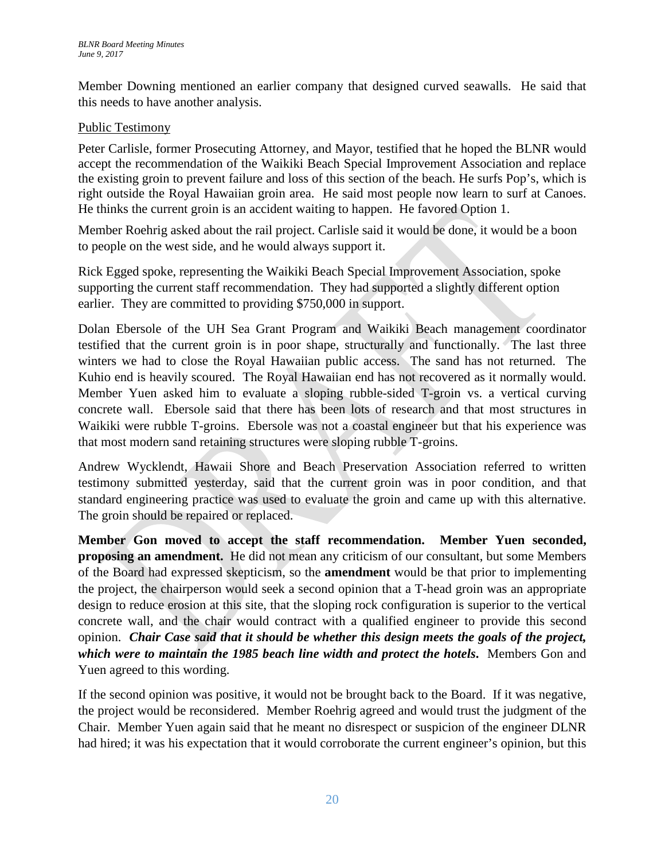Member Downing mentioned an earlier company that designed curved seawalls. He said that this needs to have another analysis.

## Public Testimony

Peter Carlisle, former Prosecuting Attorney, and Mayor, testified that he hoped the BLNR would accept the recommendation of the Waikiki Beach Special Improvement Association and replace the existing groin to prevent failure and loss of this section of the beach. He surfs Pop's, which is right outside the Royal Hawaiian groin area. He said most people now learn to surf at Canoes. He thinks the current groin is an accident waiting to happen. He favored Option 1.

Member Roehrig asked about the rail project. Carlisle said it would be done, it would be a boon to people on the west side, and he would always support it.

Rick Egged spoke, representing the Waikiki Beach Special Improvement Association, spoke supporting the current staff recommendation. They had supported a slightly different option earlier. They are committed to providing \$750,000 in support.

Dolan Ebersole of the UH Sea Grant Program and Waikiki Beach management coordinator testified that the current groin is in poor shape, structurally and functionally. The last three winters we had to close the Royal Hawaiian public access. The sand has not returned. The Kuhio end is heavily scoured. The Royal Hawaiian end has not recovered as it normally would. Member Yuen asked him to evaluate a sloping rubble-sided T-groin vs. a vertical curving concrete wall. Ebersole said that there has been lots of research and that most structures in Waikiki were rubble T-groins. Ebersole was not a coastal engineer but that his experience was that most modern sand retaining structures were sloping rubble T-groins.

Andrew Wycklendt, Hawaii Shore and Beach Preservation Association referred to written testimony submitted yesterday, said that the current groin was in poor condition, and that standard engineering practice was used to evaluate the groin and came up with this alternative. The groin should be repaired or replaced.

**Member Gon moved to accept the staff recommendation. Member Yuen seconded, proposing an amendment.** He did not mean any criticism of our consultant, but some Members of the Board had expressed skepticism, so the **amendment** would be that prior to implementing the project, the chairperson would seek a second opinion that a T-head groin was an appropriate design to reduce erosion at this site, that the sloping rock configuration is superior to the vertical concrete wall, and the chair would contract with a qualified engineer to provide this second opinion. *Chair Case said that it should be whether this design meets the goals of the project, which were to maintain the 1985 beach line width and protect the hotels***.** Members Gon and Yuen agreed to this wording.

If the second opinion was positive, it would not be brought back to the Board. If it was negative, the project would be reconsidered. Member Roehrig agreed and would trust the judgment of the Chair. Member Yuen again said that he meant no disrespect or suspicion of the engineer DLNR had hired; it was his expectation that it would corroborate the current engineer's opinion, but this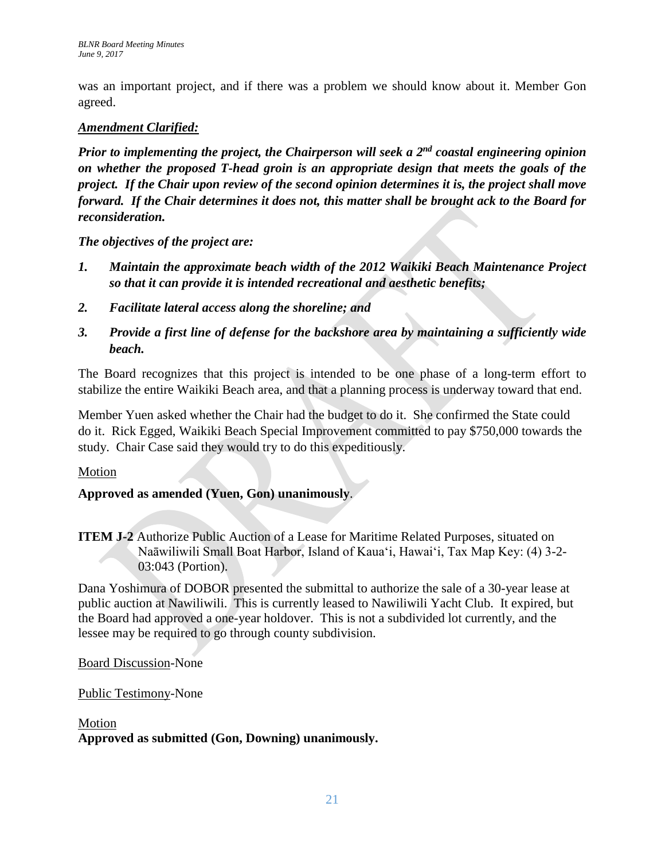was an important project, and if there was a problem we should know about it. Member Gon agreed.

## *Amendment Clarified:*

*Prior to implementing the project, the Chairperson will seek a 2nd coastal engineering opinion on whether the proposed T-head groin is an appropriate design that meets the goals of the project. If the Chair upon review of the second opinion determines it is, the project shall move forward. If the Chair determines it does not, this matter shall be brought ack to the Board for reconsideration.*

*The objectives of the project are:*

- *1. Maintain the approximate beach width of the 2012 Waikiki Beach Maintenance Project so that it can provide it is intended recreational and aesthetic benefits;*
- *2. Facilitate lateral access along the shoreline; and*
- *3. Provide a first line of defense for the backshore area by maintaining a sufficiently wide beach.*

The Board recognizes that this project is intended to be one phase of a long-term effort to stabilize the entire Waikiki Beach area, and that a planning process is underway toward that end.

Member Yuen asked whether the Chair had the budget to do it. She confirmed the State could do it. Rick Egged, Waikiki Beach Special Improvement committed to pay \$750,000 towards the study. Chair Case said they would try to do this expeditiously.

## Motion

# **Approved as amended (Yuen, Gon) unanimously**.

**ITEM J-2** Authorize Public Auction of a Lease for Maritime Related Purposes, situated on Naāwiliwili Small Boat Harbor, Island of Kaua'i, Hawaiʻi, Tax Map Key: (4) 3-2- 03:043 (Portion).

Dana Yoshimura of DOBOR presented the submittal to authorize the sale of a 30-year lease at public auction at Nawiliwili. This is currently leased to Nawiliwili Yacht Club. It expired, but the Board had approved a one-year holdover. This is not a subdivided lot currently, and the lessee may be required to go through county subdivision.

Board Discussion-None

Public Testimony-None

# Motion **Approved as submitted (Gon, Downing) unanimously.**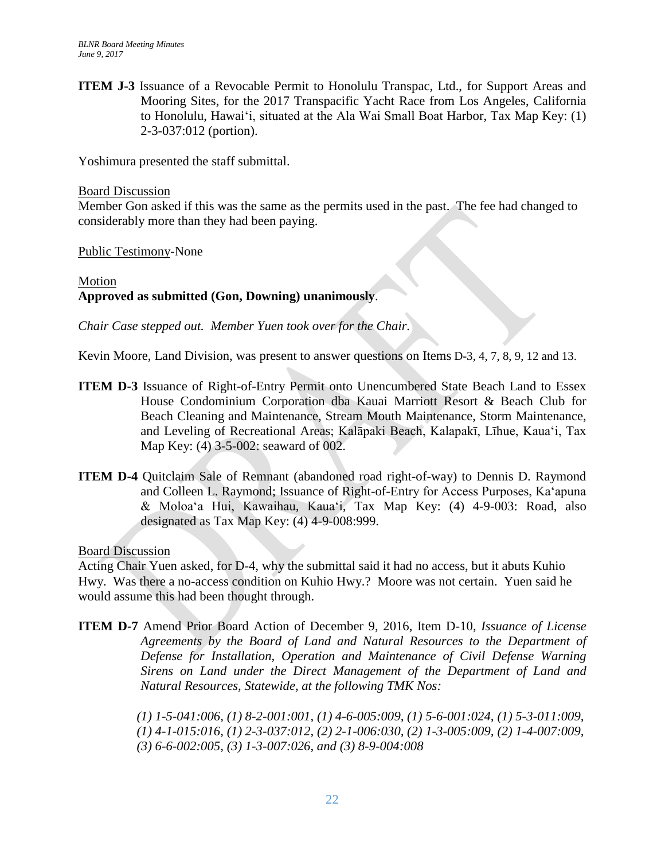**ITEM J-3** Issuance of a Revocable Permit to Honolulu Transpac, Ltd., for Support Areas and Mooring Sites, for the 2017 Transpacific Yacht Race from Los Angeles, California to Honolulu, Hawaiʻi, situated at the Ala Wai Small Boat Harbor, Tax Map Key: (1) 2-3-037:012 (portion).

Yoshimura presented the staff submittal.

#### Board Discussion

Member Gon asked if this was the same as the permits used in the past. The fee had changed to considerably more than they had been paying.

Public Testimony-None

# Motion **Approved as submitted (Gon, Downing) unanimously**.

*Chair Case stepped out. Member Yuen took over for the Chair.*

Kevin Moore, Land Division, was present to answer questions on Items D-3, 4, 7, 8, 9, 12 and 13.

- **ITEM D-3** Issuance of Right-of-Entry Permit onto Unencumbered State Beach Land to Essex House Condominium Corporation dba Kauai Marriott Resort & Beach Club for Beach Cleaning and Maintenance, Stream Mouth Maintenance, Storm Maintenance, and Leveling of Recreational Areas; Kalāpaki Beach, Kalapakī, Līhue, Kauaʻi, Tax Map Key: (4) 3-5-002: seaward of 002.
- **ITEM D-4** Quitclaim Sale of Remnant (abandoned road right-of-way) to Dennis D. Raymond and Colleen L. Raymond; Issuance of Right-of-Entry for Access Purposes, Kaʻapuna & Moloaʻa Hui, Kawaihau*,* Kauaʻi*,* Tax Map Key: (4) 4-9-003: Road, also designated as Tax Map Key: (4) 4-9-008:999.

### Board Discussion

Acting Chair Yuen asked, for D-4, why the submittal said it had no access, but it abuts Kuhio Hwy. Was there a no-access condition on Kuhio Hwy.? Moore was not certain. Yuen said he would assume this had been thought through.

**ITEM D-7** Amend Prior Board Action of December 9, 2016, Item D-10, *Issuance of License Agreements by the Board of Land and Natural Resources to the Department of Defense for Installation, Operation and Maintenance of Civil Defense Warning Sirens on Land under the Direct Management of the Department of Land and Natural Resources, Statewide, at the following TMK Nos:*

> *(1) 1-5-041:006, (1) 8-2-001:001, (1) 4-6-005:009, (1) 5-6-001:024, (1) 5-3-011:009, (1) 4-1-015:016, (1) 2-3-037:012, (2) 2-1-006:030, (2) 1-3-005:009, (2) 1-4-007:009, (3) 6-6-002:005, (3) 1-3-007:026, and (3) 8-9-004:008*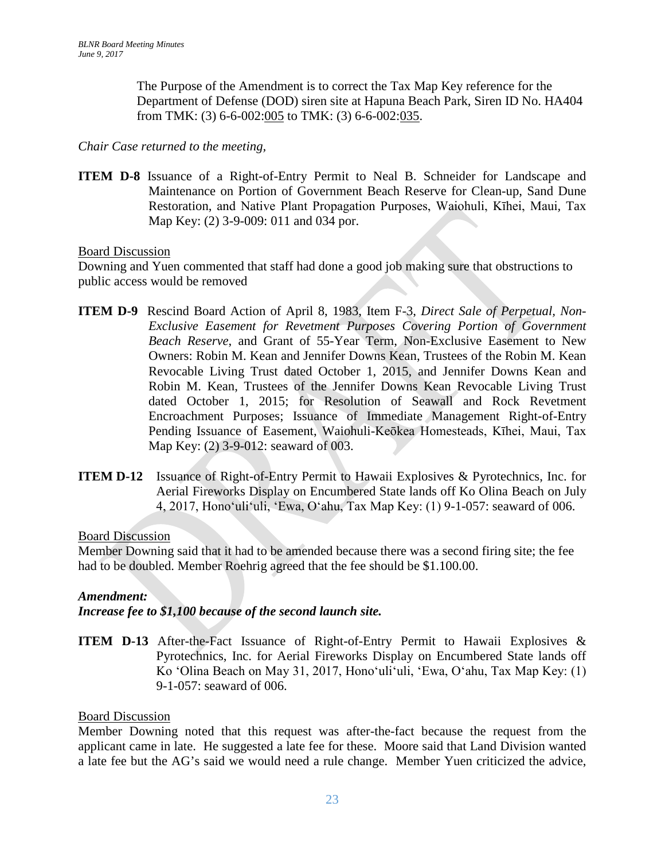The Purpose of the Amendment is to correct the Tax Map Key reference for the Department of Defense (DOD) siren site at Hapuna Beach Park, Siren ID No. HA404 from TMK: (3) 6-6-002:005 to TMK: (3) 6-6-002:035.

### *Chair Case returned to the meeting,*

**ITEM D-8** Issuance of a Right-of-Entry Permit to Neal B. Schneider for Landscape and Maintenance on Portion of Government Beach Reserve for Clean-up, Sand Dune Restoration, and Native Plant Propagation Purposes, Waiohuli, Kīhei, Maui*,* Tax Map Key: (2) 3-9-009: 011 and 034 por.

### Board Discussion

Downing and Yuen commented that staff had done a good job making sure that obstructions to public access would be removed

- **ITEM D-9** Rescind Board Action of April 8, 1983, Item F-3, *Direct Sale of Perpetual, Non-Exclusive Easement for Revetment Purposes Covering Portion of Government Beach Reserve*, and Grant of 55-Year Term, Non-Exclusive Easement to New Owners: Robin M. Kean and Jennifer Downs Kean, Trustees of the Robin M. Kean Revocable Living Trust dated October 1, 2015, and Jennifer Downs Kean and Robin M. Kean, Trustees of the Jennifer Downs Kean Revocable Living Trust dated October 1, 2015; for Resolution of Seawall and Rock Revetment Encroachment Purposes; Issuance of Immediate Management Right-of-Entry Pending Issuance of Easement, Waiohuli-Keōkea Homesteads, Kīhei, Maui, Tax Map Key: (2) 3-9-012: seaward of 003.
- **ITEM D-12** Issuance of Right-of-Entry Permit to Hawaii Explosives & Pyrotechnics, Inc. for Aerial Fireworks Display on Encumbered State lands off Ko Olina Beach on July 4, 2017, Honoʻuliʻuli, ʻEwa, Oʻahu, Tax Map Key: (1) 9-1-057: seaward of 006.

### Board Discussion

Member Downing said that it had to be amended because there was a second firing site; the fee had to be doubled. Member Roehrig agreed that the fee should be \$1.100.00.

### *Amendment:*

*Increase fee to \$1,100 because of the second launch site.*

**ITEM D-13** After-the-Fact Issuance of Right-of-Entry Permit to Hawaii Explosives & Pyrotechnics, Inc. for Aerial Fireworks Display on Encumbered State lands off Ko ʻOlina Beach on May 31, 2017, Honoʻuliʻuli, ʻEwa, Oʻahu, Tax Map Key: (1) 9-1-057: seaward of 006.

### Board Discussion

Member Downing noted that this request was after-the-fact because the request from the applicant came in late. He suggested a late fee for these. Moore said that Land Division wanted a late fee but the AG's said we would need a rule change. Member Yuen criticized the advice,